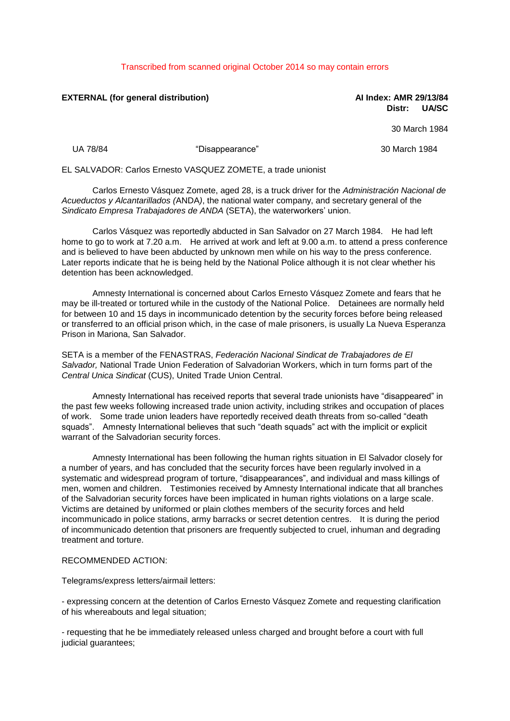## Transcribed from scanned original October 2014 so may contain errors

## **EXTERNAL (for general distribution) AI Index: AMR 29/13/84**

**Distr: UA/SC**

30 March 1984

UA 78/84 "Disappearance" 30 March 1984

EL SALVADOR: Carlos Ernesto VASQUEZ ZOMETE, a trade unionist

Carlos Ernesto Vásquez Zomete, aged 28, is a truck driver for the *Administración Nacional de Acueductos y Alcantarillados (*ANDA*)*, the national water company, and secretary general of the *Sindicato Empresa Trabajadores de ANDA* (SETA), the waterworkers' union.

Carlos Vásquez was reportedly abducted in San Salvador on 27 March 1984. He had left home to go to work at 7.20 a.m. He arrived at work and left at 9.00 a.m. to attend a press conference and is believed to have been abducted by unknown men while on his way to the press conference. Later reports indicate that he is being held by the National Police although it is not clear whether his detention has been acknowledged.

Amnesty International is concerned about Carlos Ernesto Vásquez Zomete and fears that he may be ill-treated or tortured while in the custody of the National Police. Detainees are normally held for between 10 and 15 days in incommunicado detention by the security forces before being released or transferred to an official prison which, in the case of male prisoners, is usually La Nueva Esperanza Prison in Mariona, San Salvador.

SETA is a member of the FENASTRAS, *Federación Nacional Sindicat de Trabajadores de El Salvador,* National Trade Union Federation of Salvadorian Workers, which in turn forms part of the *Central Unica Sindicat* (CUS), United Trade Union Central.

Amnesty International has received reports that several trade unionists have "disappeared" in the past few weeks following increased trade union activity, including strikes and occupation of places of work. Some trade union leaders have reportedly received death threats from so-called "death squads". Amnesty International believes that such "death squads" act with the implicit or explicit warrant of the Salvadorian security forces.

Amnesty International has been following the human rights situation in El Salvador closely for a number of years, and has concluded that the security forces have been regularly involved in a systematic and widespread program of torture, "disappearances", and individual and mass killings of men, women and children. Testimonies received by Amnesty International indicate that all branches of the Salvadorian security forces have been implicated in human rights violations on a large scale. Victims are detained by uniformed or plain clothes members of the security forces and held incommunicado in police stations, army barracks or secret detention centres. It is during the period of incommunicado detention that prisoners are frequently subjected to cruel, inhuman and degrading treatment and torture.

## RECOMMENDED ACTION:

Telegrams/express letters/airmail letters:

- expressing concern at the detention of Carlos Ernesto Vásquez Zomete and requesting clarification of his whereabouts and legal situation;

- requesting that he be immediately released unless charged and brought before a court with full judicial guarantees;